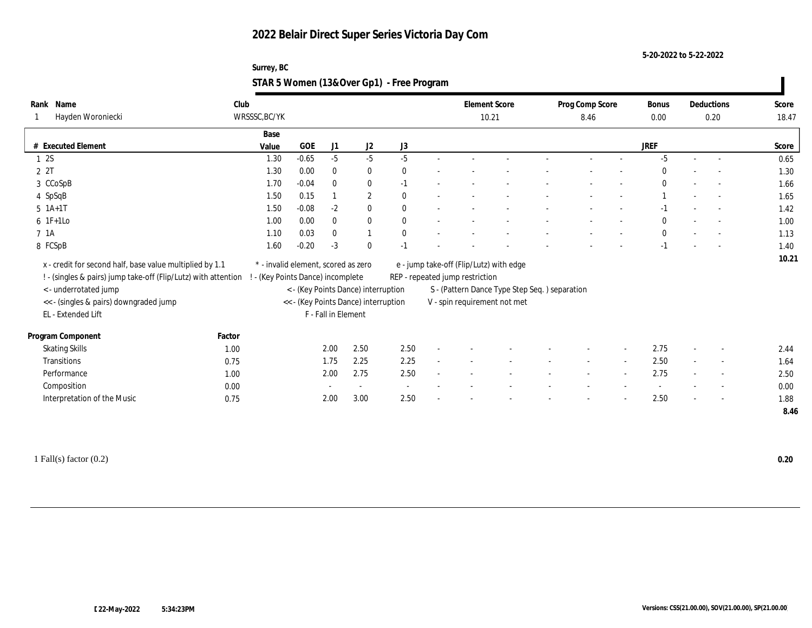**5-20-2022 to 5-22-2022**

#### **Surrey, BC STAR 5 Women (13&Over Gp1) - Free Program**

| Rank Name                                                      | Club          |                                     |                     |                                      |              |                                 | <b>Element Score</b>                          | Prog Comp Score | Bonus        | Deductions               | Score |
|----------------------------------------------------------------|---------------|-------------------------------------|---------------------|--------------------------------------|--------------|---------------------------------|-----------------------------------------------|-----------------|--------------|--------------------------|-------|
| Hayden Woroniecki                                              | WRSSSC, BC/YK |                                     |                     |                                      |              |                                 | 10.21                                         | 8.46            | 0.00         | 0.20                     | 18.47 |
|                                                                | Base          |                                     |                     |                                      |              |                                 |                                               |                 |              |                          |       |
| # Executed Element                                             | Value         | GOE                                 | J1                  | $\mathrm{J}2$                        | $\rm J3$     |                                 |                                               |                 | JREF         |                          | Score |
| 12S                                                            |               | $-0.65$<br>1.30                     | $-5$                | $-5$                                 | $-5$         |                                 |                                               |                 | $-5$         |                          | 0.65  |
| 2 2T                                                           |               | 1.30<br>0.00                        | $\bf{0}$            | $\bf{0}$                             | $\mathbf{0}$ |                                 |                                               |                 | $\Omega$     |                          | 1.30  |
| 3 CCoSpB                                                       |               | 1.70<br>$-0.04$                     | $\mathbf{0}$        | $\bf{0}$                             | $-1$         |                                 |                                               |                 | $\bf{0}$     |                          | 1.66  |
| 4 SpSqB                                                        |               | 1.50<br>0.15                        |                     | $\boldsymbol{2}$                     | $\mathbf{0}$ |                                 |                                               |                 |              | $\sim$                   | 1.65  |
| $5 \; 1A+1T$                                                   |               | $-0.08$<br>1.50                     | $-2$                | $\bf{0}$                             | $\mathbf{0}$ |                                 |                                               |                 | $-1$         | $\sim$                   | 1.42  |
| $6$ 1F+1Lo                                                     |               | 0.00<br>1.00                        | $\mathbf{0}$        | $\bf{0}$                             | $\mathbf{0}$ |                                 |                                               |                 | $\mathbf{0}$ |                          | 1.00  |
| 7 1A                                                           |               | 0.03<br>1.10                        | $\mathbf{0}$        | $\mathbf{1}$                         | $\mathbf{0}$ |                                 |                                               |                 | $\mathbf{0}$ |                          | 1.13  |
| 8 FCSpB                                                        |               | $-0.20$<br>1.60                     | $-3$                | $\bf{0}$                             | $-1$         |                                 |                                               |                 | $-1$         |                          | 1.40  |
| x - credit for second half, base value multiplied by 1.1       |               | * - invalid element, scored as zero |                     |                                      |              |                                 | e - jump take-off (Flip/Lutz) with edge       |                 |              |                          | 10.21 |
| ! - (singles & pairs) jump take-off (Flip/Lutz) with attention |               | - (Key Points Dance) incomplete     |                     |                                      |              | REP - repeated jump restriction |                                               |                 |              |                          |       |
| <- underrotated jump                                           |               |                                     |                     | < - (Key Points Dance) interruption  |              |                                 | S - (Pattern Dance Type Step Seq.) separation |                 |              |                          |       |
| << - (singles & pairs) downgraded jump                         |               |                                     |                     | << - (Key Points Dance) interruption |              |                                 | V - spin requirement not met                  |                 |              |                          |       |
| EL - Extended Lift                                             |               |                                     | F - Fall in Element |                                      |              |                                 |                                               |                 |              |                          |       |
| Program Component                                              | Factor        |                                     |                     |                                      |              |                                 |                                               |                 |              |                          |       |
| <b>Skating Skills</b>                                          | 1.00          |                                     | 2.00                | 2.50                                 | 2.50         |                                 |                                               |                 | 2.75         | $\overline{\phantom{a}}$ | 2.44  |
| Transitions                                                    | 0.75          |                                     | 1.75                | 2.25                                 | 2.25         |                                 |                                               |                 | 2.50         | $\overline{\phantom{a}}$ | 1.64  |
| Performance                                                    | 1.00          |                                     | 2.00                | 2.75                                 | 2.50         |                                 |                                               |                 | 2.75         | $\sim$                   | 2.50  |
| Composition                                                    | 0.00          |                                     |                     | $\sim$                               | $\sim$       |                                 |                                               |                 |              | $\sim$                   | 0.00  |
| Interpretation of the Music                                    | 0.75          |                                     | 2.00                | 3.00                                 | 2.50         |                                 |                                               |                 | 2.50         | $\overline{a}$           | 1.88  |
|                                                                |               |                                     |                     |                                      |              |                                 |                                               |                 |              |                          | 8.46  |
|                                                                |               |                                     |                     |                                      |              |                                 |                                               |                 |              |                          |       |

1 Fall(s) factor (0.2) **0.20**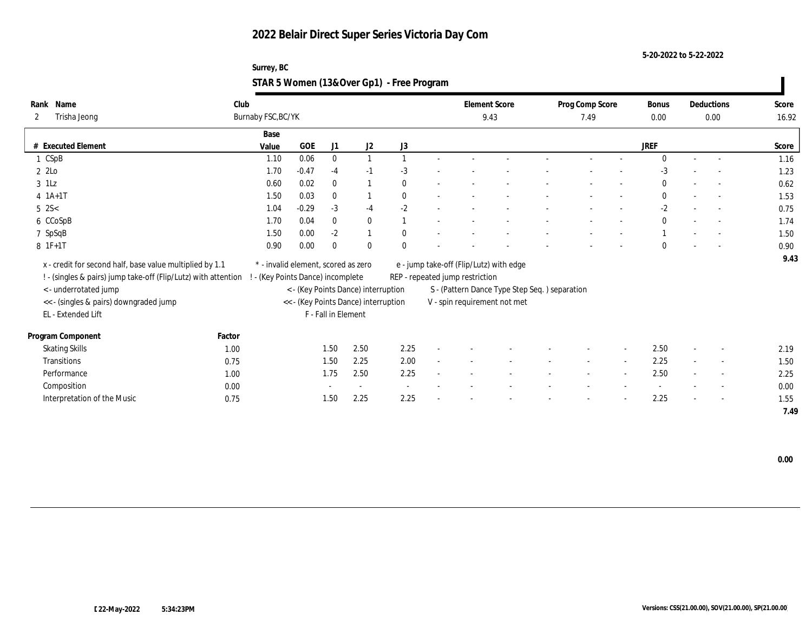**5-20-2022 to 5-22-2022**

#### **Surrey, BC STAR 5 Women (13&Over Gp1) - Free Program**

| Rank Name                                                                                        | Club   |                                     |            |                     |                                      |              |        |                                 | <b>Element Score</b>                          | Prog Comp Score |                          | <b>Bonus</b> |        | Deductions               | Score |
|--------------------------------------------------------------------------------------------------|--------|-------------------------------------|------------|---------------------|--------------------------------------|--------------|--------|---------------------------------|-----------------------------------------------|-----------------|--------------------------|--------------|--------|--------------------------|-------|
| Trisha Jeong<br>2                                                                                |        | Burnaby FSC, BC/YK                  |            |                     |                                      |              |        |                                 | 9.43                                          | 7.49            |                          | 0.00         |        | 0.00                     | 16.92 |
|                                                                                                  |        | Base                                |            |                     |                                      |              |        |                                 |                                               |                 |                          |              |        |                          |       |
| # Executed Element                                                                               |        | Value                               | <b>GOE</b> | J1                  | J2                                   | J3           |        |                                 |                                               |                 |                          | <b>JREF</b>  |        |                          | Score |
| 1 CSpB                                                                                           |        | 1.10                                | 0.06       | $\bf{0}$            | $\overline{1}$                       |              |        |                                 |                                               |                 |                          | $\Omega$     | $\sim$ | $\overline{a}$           | 1.16  |
| $2$ $2$ Lo                                                                                       |        | 1.70                                | $-0.47$    | $-4$                | $-1$                                 | $-3$         |        |                                 |                                               |                 |                          | $-3$         |        |                          | 1.23  |
| $3$ 1Lz                                                                                          |        | 0.60                                | 0.02       | $\mathbf{0}$        | $\overline{1}$                       | $\mathbf{0}$ |        |                                 |                                               |                 |                          | $\mathbf{0}$ |        |                          | 0.62  |
| $4 \; 1A+1T$                                                                                     |        | 1.50                                | 0.03       | $\mathbf{0}$        |                                      | $\theta$     |        |                                 |                                               |                 |                          | $\bf{0}$     |        | $\sim$                   | 1.53  |
| $5$ 2S $<$                                                                                       |        | 1.04                                | $-0.29$    | $-3$                | $-4$                                 | $-2$         |        |                                 |                                               |                 |                          | $-2$         |        | $\sim$                   | 0.75  |
| 6 CCoSpB                                                                                         |        | 1.70                                | 0.04       | $\bf{0}$            | $\bf{0}$                             |              |        |                                 |                                               |                 |                          | $\mathbf{0}$ |        |                          | 1.74  |
| 7 SpSqB                                                                                          |        | 1.50                                | 0.00       | $-2$                | $\mathbf{1}$                         | $\bf{0}$     |        |                                 |                                               |                 |                          |              |        |                          | 1.50  |
| $8 \t1F+1T$                                                                                      |        | 0.90                                | 0.00       | $\mathbf{0}$        | $\mathbf{0}$                         | $\Omega$     |        |                                 |                                               |                 |                          | $\Omega$     |        |                          | 0.90  |
| x - credit for second half, base value multiplied by 1.1                                         |        | * - invalid element, scored as zero |            |                     |                                      |              |        |                                 | e - jump take-off (Flip/Lutz) with edge       |                 |                          |              |        |                          | 9.43  |
| ! - (singles & pairs) jump take-off (Flip/Lutz) with attention ! - (Key Points Dance) incomplete |        |                                     |            |                     |                                      |              |        | REP - repeated jump restriction |                                               |                 |                          |              |        |                          |       |
| <- underrotated jump                                                                             |        |                                     |            |                     | < - (Key Points Dance) interruption  |              |        |                                 | S - (Pattern Dance Type Step Seq.) separation |                 |                          |              |        |                          |       |
| << - (singles & pairs) downgraded jump                                                           |        |                                     |            |                     | << - (Key Points Dance) interruption |              |        |                                 | V - spin requirement not met                  |                 |                          |              |        |                          |       |
| EL - Extended Lift                                                                               |        |                                     |            | F - Fall in Element |                                      |              |        |                                 |                                               |                 |                          |              |        |                          |       |
|                                                                                                  |        |                                     |            |                     |                                      |              |        |                                 |                                               |                 |                          |              |        |                          |       |
| Program Component                                                                                | Factor |                                     |            |                     |                                      |              |        |                                 |                                               |                 |                          |              |        |                          |       |
| <b>Skating Skills</b>                                                                            | 1.00   |                                     |            | 1.50                | 2.50                                 | 2.25         |        |                                 |                                               |                 |                          | 2.50         |        | $\sim$                   | 2.19  |
| <b>Transitions</b>                                                                               | 0.75   |                                     |            | 1.50                | 2.25                                 | 2.00         | $\sim$ |                                 |                                               | $\sim$          | $\sim$                   | 2.25         | $\sim$ | $\sim$                   | 1.50  |
| Performance                                                                                      | 1.00   |                                     |            | 1.75                | 2.50                                 | 2.25         |        |                                 |                                               |                 | $\overline{\phantom{a}}$ | 2.50         |        | $\overline{\phantom{a}}$ | 2.25  |
| Composition                                                                                      | 0.00   |                                     |            |                     | $\sim$                               | $\sim$       |        |                                 |                                               |                 |                          |              |        | $\sim$                   | 0.00  |
| Interpretation of the Music                                                                      | 0.75   |                                     |            | 1.50                | 2.25                                 | 2.25         |        |                                 |                                               |                 |                          | 2.25         |        | $\overline{\phantom{a}}$ | 1.55  |
|                                                                                                  |        |                                     |            |                     |                                      |              |        |                                 |                                               |                 |                          |              |        |                          | 7.49  |

 **0.00**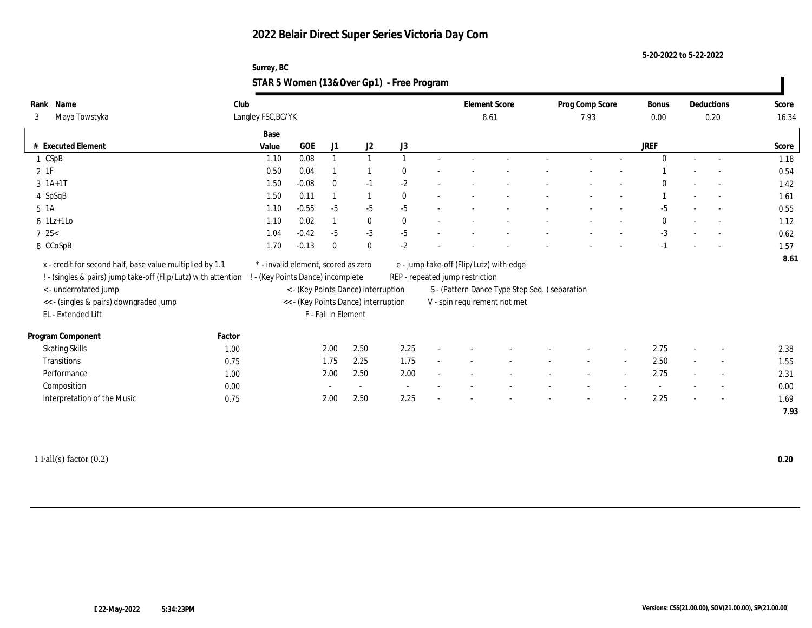**5-20-2022 to 5-22-2022**

#### **Surrey, BC STAR 5 Women (13&Over Gp1) - Free Program**

| Rank          | Name                                                           | Club               |                                     |                     |                                      |              |                                 | <b>Element Score</b>                           | Prog Comp Score |        | Bonus        |        | Deductions               | Score |
|---------------|----------------------------------------------------------------|--------------------|-------------------------------------|---------------------|--------------------------------------|--------------|---------------------------------|------------------------------------------------|-----------------|--------|--------------|--------|--------------------------|-------|
| 3             | Maya Towstyka                                                  | Langley FSC, BC/YK |                                     |                     |                                      |              | 8.61                            |                                                | 7.93            |        | 0.00         |        | 0.20                     | 16.34 |
|               |                                                                | Base               |                                     |                     |                                      |              |                                 |                                                |                 |        |              |        |                          |       |
|               | # Executed Element                                             | Value              | <b>GOE</b>                          | J1                  | J2                                   | J3           |                                 |                                                |                 |        | JREF         |        |                          | Score |
|               | 1 CSpB                                                         | 1.10               | 0.08                                |                     | $\mathbf{1}$                         |              |                                 |                                                |                 |        | $\Omega$     | $\sim$ | $\sim$                   | 1.18  |
| $2$ 1F        |                                                                | 0.50               | 0.04                                |                     |                                      | $\Omega$     |                                 |                                                |                 |        |              |        |                          | 0.54  |
|               | $3 \; 1A+1T$                                                   | 1.50               | $-0.08$                             | $\mathbf{0}$        | $-1$                                 | $-2$         |                                 |                                                |                 |        | $\Omega$     |        |                          | 1.42  |
|               | 4 SpSqB                                                        | 1.50               | 0.11                                |                     | $\overline{1}$                       | $\theta$     |                                 |                                                |                 |        |              |        | $\sim$                   | 1.61  |
| $5 \text{1A}$ |                                                                | 1.10               | $-0.55$                             | $-5$                | $-5$                                 | $-5$         |                                 |                                                |                 |        | $-5$         |        | $\overline{a}$           | 0.55  |
|               | $6$ 1Lz+1Lo                                                    | 1.10               | 0.02                                |                     | $\bf{0}$                             | $\mathbf{0}$ |                                 |                                                |                 |        | $\mathbf{0}$ |        |                          | 1.12  |
|               | $7 \, 2S <$                                                    | 1.04               | $-0.42$                             | $-5$                | $-3$                                 | $-5$         |                                 |                                                |                 |        | $-3$         |        |                          | 0.62  |
|               | 8 CCoSpB                                                       | 1.70               | $-0.13$                             | $\bf{0}$            | $\mathbf{0}$                         | $-2$         |                                 |                                                |                 |        | $-1$         |        |                          | 1.57  |
|               | x - credit for second half, base value multiplied by 1.1       |                    | * - invalid element, scored as zero |                     |                                      |              |                                 | e - jump take-off (Flip/Lutz) with edge        |                 |        |              |        |                          | 8.61  |
|               | ! - (singles & pairs) jump take-off (Flip/Lutz) with attention |                    | ! - (Key Points Dance) incomplete   |                     |                                      |              | REP - repeated jump restriction |                                                |                 |        |              |        |                          |       |
|               | < - underrotated jump                                          |                    |                                     |                     | < - (Key Points Dance) interruption  |              |                                 | S - (Pattern Dance Type Step Seq. ) separation |                 |        |              |        |                          |       |
|               | << - (singles & pairs) downgraded jump                         |                    |                                     |                     | << - (Key Points Dance) interruption |              |                                 | V - spin requirement not met                   |                 |        |              |        |                          |       |
|               | EL - Extended Lift                                             |                    |                                     | F - Fall in Element |                                      |              |                                 |                                                |                 |        |              |        |                          |       |
|               |                                                                |                    |                                     |                     |                                      |              |                                 |                                                |                 |        |              |        |                          |       |
|               | Program Component                                              | Factor             |                                     |                     |                                      |              |                                 |                                                |                 |        |              |        |                          |       |
|               | <b>Skating Skills</b>                                          | 1.00               |                                     | 2.00                | 2.50                                 | 2.25         |                                 |                                                |                 |        | 2.75         |        | $\sim$                   | 2.38  |
|               | Transitions                                                    | 0.75               |                                     | 1.75                | 2.25                                 | 1.75         |                                 |                                                |                 | $\sim$ | 2.50         |        | $\overline{\phantom{a}}$ | 1.55  |
|               | Performance                                                    | 1.00               |                                     | 2.00                | 2.50                                 | 2.00         |                                 |                                                |                 | $\sim$ | 2.75         |        | $\sim$                   | 2.31  |
|               | Composition                                                    | 0.00               |                                     |                     | $\overline{\phantom{a}}$             | $\sim$       |                                 |                                                |                 |        |              |        | $\overline{\phantom{a}}$ | 0.00  |
|               | Interpretation of the Music                                    | 0.75               |                                     | 2.00                | 2.50                                 | 2.25         |                                 |                                                |                 |        | 2.25         |        | $\overline{a}$           | 1.69  |
|               |                                                                |                    |                                     |                     |                                      |              |                                 |                                                |                 |        |              |        |                          | 7.93  |

1 Fall(s) factor (0.2) **0.20**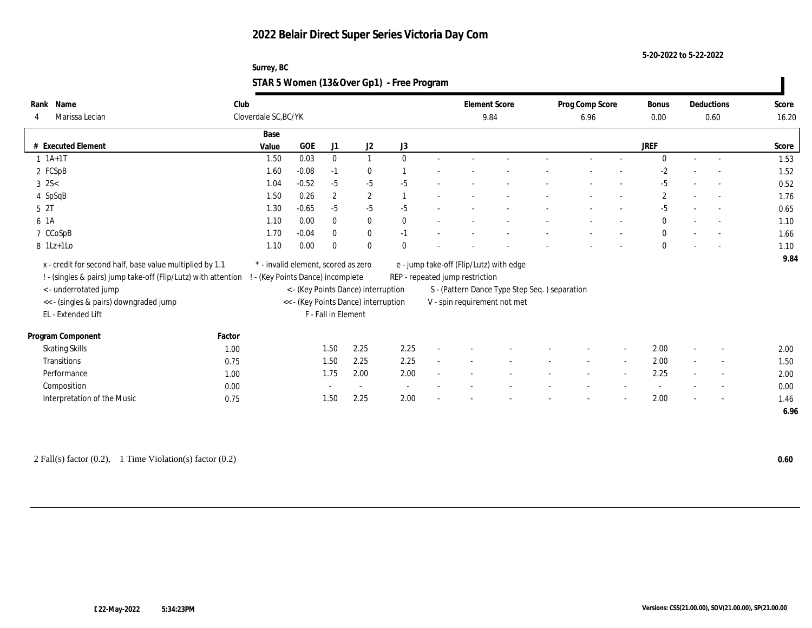**5-20-2022 to 5-22-2022**

#### **Surrey, BC STAR 5 Women (13&Over Gp1) - Free Program**

| Rank | Name                                                           | Club                            |                                     |                |                                      |          |        |                                                | <b>Element Score</b> |  | Prog Comp Score |        | Bonus          |        | Deductions               | Score |
|------|----------------------------------------------------------------|---------------------------------|-------------------------------------|----------------|--------------------------------------|----------|--------|------------------------------------------------|----------------------|--|-----------------|--------|----------------|--------|--------------------------|-------|
| 4    | Marissa Lecian                                                 | Cloverdale SC, BC/YK            |                                     |                |                                      |          |        |                                                | 9.84                 |  | 6.96            |        | 0.00           |        | 0.60                     | 16.20 |
|      |                                                                | Base                            |                                     |                |                                      |          |        |                                                |                      |  |                 |        |                |        |                          |       |
|      | # Executed Element                                             | Value                           | <b>GOE</b>                          | J1             | J2                                   | J3       |        |                                                |                      |  |                 |        | <b>JREF</b>    |        |                          | Score |
|      | $1 \t1A+1T$                                                    | 1.50                            | 0.03                                | $\mathbf{0}$   | $\mathbf{1}$                         | $\theta$ |        |                                                |                      |  |                 |        | $\theta$       |        | $\sim$                   | 1.53  |
|      | 2 FCSpB                                                        | 1.60                            | $-0.08$                             | $-1$           | $\bf{0}$                             |          |        |                                                |                      |  |                 |        | $-2$           |        |                          | 1.52  |
|      | $3 \, 2S <$                                                    | 1.04                            | $-0.52$                             | $-5$           | $-5$                                 | $-5$     |        |                                                |                      |  |                 |        | $-5$           |        |                          | 0.52  |
|      | 4 SpSqB                                                        | 1.50                            | 0.26                                | $\overline{c}$ | $\mathbf{2}$                         |          |        |                                                |                      |  |                 |        | $\overline{2}$ |        |                          | 1.76  |
|      | 5 2T                                                           | 1.30                            | $-0.65$                             | $-5$           | $-5$                                 | $-5$     |        |                                                |                      |  |                 |        | $-5$           |        | $\sim$                   | 0.65  |
|      | 6 1A                                                           | 1.10                            | 0.00                                | $\mathbf{0}$   | $\bf{0}$                             | $\theta$ |        |                                                |                      |  |                 |        | $\mathbf{0}$   |        | $\sim$                   | 1.10  |
|      | 7 CCoSpB                                                       | 1.70                            | $-0.04$                             | $\mathbf{0}$   | $\bf{0}$                             | $-1$     |        |                                                |                      |  |                 |        | $\mathbf{0}$   |        |                          | 1.66  |
|      | $8$ 1Lz+1Lo                                                    | 1.10                            | 0.00                                | $\mathbf{0}$   | $\mathbf{0}$                         | $\theta$ |        |                                                |                      |  |                 |        | $\bf{0}$       |        |                          | 1.10  |
|      | x - credit for second half, base value multiplied by 1.1       |                                 | * - invalid element, scored as zero |                |                                      |          |        | e - jump take-off (Flip/Lutz) with edge        |                      |  |                 |        |                |        |                          | 9.84  |
|      | ! - (singles & pairs) jump take-off (Flip/Lutz) with attention | - (Key Points Dance) incomplete |                                     |                |                                      |          |        | REP - repeated jump restriction                |                      |  |                 |        |                |        |                          |       |
|      | < - underrotated jump                                          |                                 |                                     |                | < - (Key Points Dance) interruption  |          |        | S - (Pattern Dance Type Step Seq. ) separation |                      |  |                 |        |                |        |                          |       |
|      | << - (singles & pairs) downgraded jump                         |                                 |                                     |                | << - (Key Points Dance) interruption |          |        | V - spin requirement not met                   |                      |  |                 |        |                |        |                          |       |
|      | EL - Extended Lift                                             |                                 |                                     |                | F - Fall in Element                  |          |        |                                                |                      |  |                 |        |                |        |                          |       |
|      |                                                                |                                 |                                     |                |                                      |          |        |                                                |                      |  |                 |        |                |        |                          |       |
|      | Program Component                                              | Factor                          |                                     |                |                                      |          |        |                                                |                      |  |                 |        |                |        |                          |       |
|      | <b>Skating Skills</b>                                          | 1.00                            |                                     | 1.50           | 2.25                                 | 2.25     |        |                                                |                      |  |                 |        | 2.00           |        | $\overline{\phantom{a}}$ | 2.00  |
|      | Transitions                                                    | 0.75                            |                                     | 1.50           | 2.25                                 | 2.25     | $\sim$ |                                                |                      |  | $\sim$          | $\sim$ | 2.00           | $\sim$ | $\overline{\phantom{a}}$ | 1.50  |
|      | Performance                                                    | 1.00                            |                                     | 1.75           | 2.00                                 | 2.00     |        |                                                |                      |  |                 |        | 2.25           |        | $\sim$                   | 2.00  |
|      | Composition                                                    | 0.00                            |                                     |                | $\sim$                               |          |        |                                                |                      |  |                 |        |                |        | $\overline{\phantom{a}}$ | 0.00  |
|      | Interpretation of the Music                                    | 0.75                            |                                     | 1.50           | 2.25                                 | 2.00     |        |                                                |                      |  |                 |        | 2.00           |        | $\sim$                   | 1.46  |
|      |                                                                |                                 |                                     |                |                                      |          |        |                                                |                      |  |                 |        |                |        |                          | 6.96  |

2 Fall(s) factor (0.2), 1 Time Violation(s) factor (0.2) **0.60**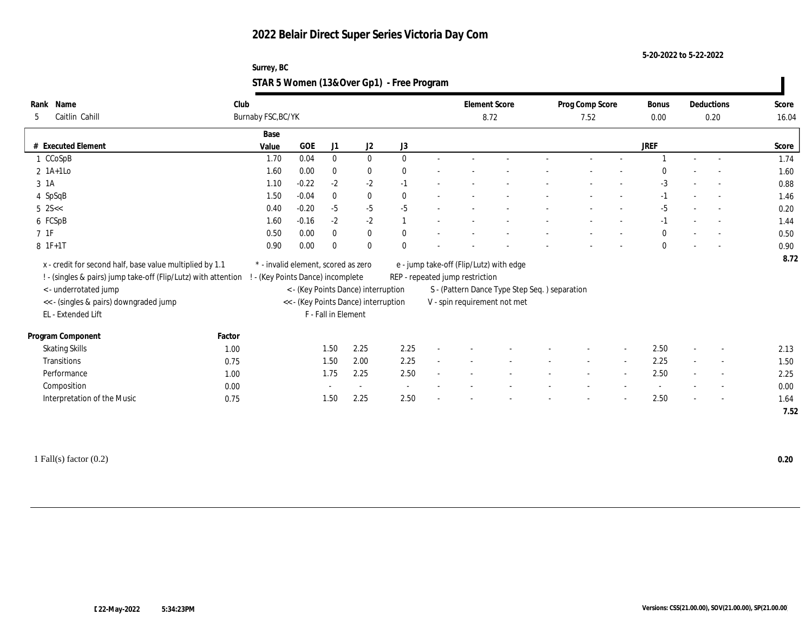**5-20-2022 to 5-22-2022**

#### **Surrey, BC STAR 5 Women (13&Over Gp1) - Free Program**

| Rank Name                                                      | Club   |                                     |                     |              |                                      |              |                                 | <b>Element Score</b>                          | Prog Comp Score |                          | Bonus        | Deductions               | Score |
|----------------------------------------------------------------|--------|-------------------------------------|---------------------|--------------|--------------------------------------|--------------|---------------------------------|-----------------------------------------------|-----------------|--------------------------|--------------|--------------------------|-------|
| Caitlin Cahill<br>5                                            |        | Burnaby FSC, BC/YK                  |                     |              |                                      |              |                                 | 8.72                                          | 7.52            |                          | 0.00         | 0.20                     | 16.04 |
|                                                                |        | Base                                |                     |              |                                      |              |                                 |                                               |                 |                          |              |                          |       |
| # Executed Element                                             |        | Value                               | GOE                 | J1           | J2                                   | J3           |                                 |                                               |                 |                          | <b>JREF</b>  |                          | Score |
| 1 CCoSpB                                                       |        | 1.70                                | 0.04                | $\bf{0}$     | $\bf{0}$                             | $\mathbf{0}$ |                                 |                                               |                 |                          |              |                          | 1.74  |
| $2$ 1A+1Lo                                                     |        | 1.60                                | 0.00                | $\bf{0}$     | $\bf{0}$                             | $\mathbf{0}$ |                                 |                                               |                 |                          | $\Omega$     |                          | 1.60  |
| 3 1A                                                           |        | 1.10                                | $-0.22$             | $-2$         | $-2$                                 | $-1$         |                                 |                                               |                 |                          | $-3$         |                          | 0.88  |
| 4 SpSqB                                                        |        | 1.50                                | $-0.04$             | $\bf{0}$     | $\bf{0}$                             | $\mathbf{0}$ |                                 |                                               |                 |                          | $-1$         |                          | 1.46  |
| $5$ 2S $<<$                                                    |        | 0.40                                | $-0.20$             | $-5$         | $-5$                                 | $-5$         |                                 |                                               |                 |                          | $-5$         | $\sim$                   | 0.20  |
| 6 FCSpB                                                        |        | 1.60                                | $-0.16$             | $-2$         | $-2$                                 |              |                                 |                                               |                 |                          | $-1$         | $\sim$                   | 1.44  |
| $7\;\;1\mathrm{F}$                                             |        | 0.50                                | 0.00                | $\mathbf{0}$ | $\bf{0}$                             | $\mathbf{0}$ |                                 |                                               |                 |                          | $\theta$     |                          | 0.50  |
| $8 \t1F+1T$                                                    |        | 0.90                                | 0.00                | $\mathbf{0}$ | $\mathbf{0}$                         | $\theta$     |                                 |                                               |                 |                          | $\mathbf{0}$ | $\overline{a}$           | 0.90  |
| x - credit for second half, base value multiplied by 1.1       |        | * - invalid element, scored as zero |                     |              |                                      |              |                                 | e - jump take-off (Flip/Lutz) with edge       |                 |                          |              |                          | 8.72  |
| ! - (singles & pairs) jump take-off (Flip/Lutz) with attention |        | - (Key Points Dance) incomplete     |                     |              |                                      |              | REP - repeated jump restriction |                                               |                 |                          |              |                          |       |
|                                                                |        |                                     |                     |              | < - (Key Points Dance) interruption  |              |                                 | S - (Pattern Dance Type Step Seq.) separation |                 |                          |              |                          |       |
| <- underrotated jump<br><< - (singles & pairs) downgraded jump |        |                                     |                     |              | << - (Key Points Dance) interruption |              |                                 | V - spin requirement not met                  |                 |                          |              |                          |       |
| EL - Extended Lift                                             |        |                                     | F - Fall in Element |              |                                      |              |                                 |                                               |                 |                          |              |                          |       |
|                                                                |        |                                     |                     |              |                                      |              |                                 |                                               |                 |                          |              |                          |       |
| Program Component                                              | Factor |                                     |                     |              |                                      |              |                                 |                                               |                 |                          |              |                          |       |
| <b>Skating Skills</b>                                          | 1.00   |                                     |                     | 1.50         | 2.25                                 | 2.25         |                                 |                                               |                 |                          | 2.50         | $\overline{\phantom{a}}$ | 2.13  |
| Transitions                                                    | 0.75   |                                     |                     | 1.50         | 2.00                                 | 2.25         |                                 |                                               |                 | $\sim$                   | 2.25         | $\sim$                   | 1.50  |
| Performance                                                    | 1.00   |                                     |                     | 1.75         | 2.25                                 | 2.50         |                                 |                                               |                 | $\overline{\phantom{a}}$ | 2.50         | $\overline{\phantom{a}}$ | 2.25  |
| Composition                                                    | 0.00   |                                     |                     |              | $\sim$                               | $\sim$       |                                 |                                               |                 |                          |              | $\overline{\phantom{a}}$ | 0.00  |
| Interpretation of the Music                                    | 0.75   |                                     |                     | 1.50         | 2.25                                 | 2.50         |                                 |                                               |                 |                          | 2.50         | $\overline{\phantom{a}}$ | 1.64  |
|                                                                |        |                                     |                     |              |                                      |              |                                 |                                               |                 |                          |              |                          | 7.52  |

1 Fall(s) factor (0.2) **0.20**

 $\mathbf{I}$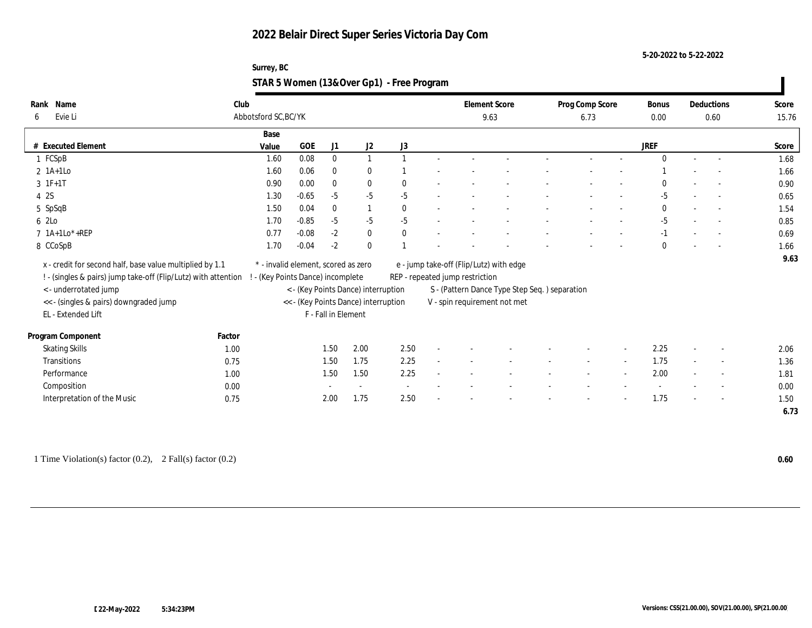**5-20-2022 to 5-22-2022**

#### **Surrey, BC STAR 5 Women (13&Over Gp1) - Free Program**

| Name<br>Rank                                                                                     | Club   |                                     |            |                     |                                      |              |                                 | <b>Element Score</b>                          | Prog Comp Score |                          | Bonus       |        | Deductions               | Score |
|--------------------------------------------------------------------------------------------------|--------|-------------------------------------|------------|---------------------|--------------------------------------|--------------|---------------------------------|-----------------------------------------------|-----------------|--------------------------|-------------|--------|--------------------------|-------|
| Evie Li<br>6                                                                                     |        | Abbotsford SC, BC/YK                |            |                     |                                      |              |                                 | 9.63                                          | 6.73            |                          | 0.00        |        | 0.60                     | 15.76 |
|                                                                                                  |        | Base                                |            |                     |                                      |              |                                 |                                               |                 |                          |             |        |                          |       |
| # Executed Element                                                                               |        | Value                               | <b>GOE</b> | J1                  | J2                                   | J3           |                                 |                                               |                 |                          | <b>JREF</b> |        |                          | Score |
| 1 FCSpB                                                                                          |        | 1.60                                | 0.08       | $\bf{0}$            | $\mathbf{1}$                         | $\mathbf{1}$ |                                 |                                               |                 |                          | $\Omega$    | $\sim$ | $\sim$                   | 1.68  |
| $2 \text{ 1A+1Lo}$                                                                               |        | 1.60                                | 0.06       | $\bf{0}$            | $\bf{0}$                             |              |                                 |                                               |                 |                          |             |        | $\overline{\phantom{a}}$ | 1.66  |
| $3 \t1F+1T$                                                                                      |        | 0.90                                | 0.00       | $\mathbf{0}$        | $\bf{0}$                             | $\mathbf{0}$ |                                 |                                               |                 |                          | $\Omega$    |        |                          | 0.90  |
| 4 2S                                                                                             |        | 1.30                                | $-0.65$    | $-5$                | $-5$                                 | $-5$         |                                 |                                               |                 |                          | $-5$        |        | $\sim$                   | 0.65  |
| 5 SpSqB                                                                                          |        | 1.50                                | 0.04       | $\bf{0}$            | $\mathbf{1}$                         | $\mathbf{0}$ |                                 |                                               |                 |                          | $\Omega$    |        | $\sim$                   | 1.54  |
| 6 2Lo                                                                                            |        | 1.70                                | $-0.85$    | $-5$                | $-5$                                 | $-5$         |                                 |                                               |                 |                          | $-5$        |        | $\overline{\phantom{a}}$ | 0.85  |
| $7 \text{ } 1\text{A}+1\text{Lo}^*+\text{REP}$                                                   |        | 0.77                                | $-0.08$    | $-2$                | $\bf{0}$                             | $\mathbf{0}$ |                                 |                                               |                 |                          | $-1$        |        |                          | 0.69  |
| 8 CCoSpB                                                                                         |        | 1.70                                | $-0.04$    | $-2$                | $\bf{0}$                             |              |                                 |                                               |                 |                          | $\Omega$    |        |                          | 1.66  |
| x - credit for second half, base value multiplied by 1.1                                         |        | * - invalid element, scored as zero |            |                     |                                      |              |                                 | e - jump take-off (Flip/Lutz) with edge       |                 |                          |             |        |                          | 9.63  |
| ! - (singles & pairs) jump take-off (Flip/Lutz) with attention ! - (Key Points Dance) incomplete |        |                                     |            |                     |                                      |              | REP - repeated jump restriction |                                               |                 |                          |             |        |                          |       |
| < - underrotated jump                                                                            |        |                                     |            |                     | < - (Key Points Dance) interruption  |              |                                 | S - (Pattern Dance Type Step Seq.) separation |                 |                          |             |        |                          |       |
| << - (singles & pairs) downgraded jump                                                           |        |                                     |            |                     | << - (Key Points Dance) interruption |              |                                 | V - spin requirement not met                  |                 |                          |             |        |                          |       |
| EL - Extended Lift                                                                               |        |                                     |            | F - Fall in Element |                                      |              |                                 |                                               |                 |                          |             |        |                          |       |
|                                                                                                  |        |                                     |            |                     |                                      |              |                                 |                                               |                 |                          |             |        |                          |       |
| Program Component                                                                                | Factor |                                     |            |                     |                                      |              |                                 |                                               |                 |                          |             |        |                          |       |
| <b>Skating Skills</b>                                                                            | 1.00   |                                     |            | 1.50                | 2.00                                 | 2.50         |                                 |                                               |                 |                          | 2.25        |        | $\sim$                   | 2.06  |
| <b>Transitions</b>                                                                               | 0.75   |                                     |            | 1.50                | 1.75                                 | 2.25         |                                 |                                               | $\sim$          | $\sim$                   | 1.75        | $\sim$ | $\overline{\phantom{a}}$ | 1.36  |
| Performance                                                                                      | 1.00   |                                     |            | 1.50                | 1.50                                 | 2.25         |                                 |                                               |                 | $\overline{\phantom{a}}$ | 2.00        |        | $\sim$                   | 1.81  |
| Composition                                                                                      | 0.00   |                                     |            |                     | $\sim$                               | $\sim$       |                                 |                                               |                 |                          |             |        | $\overline{\phantom{a}}$ | 0.00  |
| Interpretation of the Music                                                                      | 0.75   |                                     |            | 2.00                | 1.75                                 | 2.50         |                                 |                                               |                 |                          | 1.75        |        | $\overline{\phantom{a}}$ | 1.50  |
|                                                                                                  |        |                                     |            |                     |                                      |              |                                 |                                               |                 |                          |             |        |                          | 6.73  |

<sup>1</sup> Time Violation(s) factor (0.2), 2 Fall(s) factor (0.2) **0.60**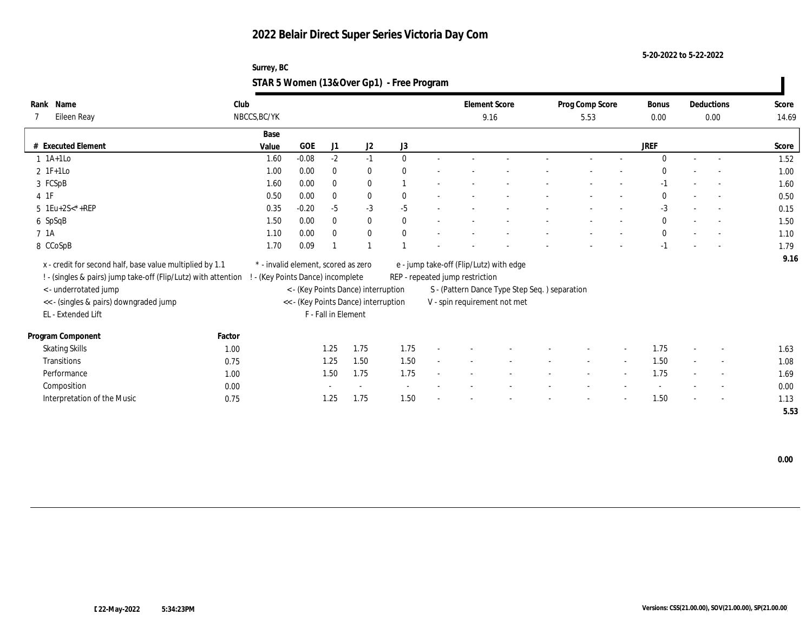**5-20-2022 to 5-22-2022**

#### **Surrey, BC STAR 5 Women (13&Over Gp1) - Free Program**

| Rank Name                                                      | Club   |                                     |           |                     |                                      |              |                                               | <b>Element Score</b> |  | Prog Comp Score |                          | Bonus        |        | Deductions               | Score |
|----------------------------------------------------------------|--------|-------------------------------------|-----------|---------------------|--------------------------------------|--------------|-----------------------------------------------|----------------------|--|-----------------|--------------------------|--------------|--------|--------------------------|-------|
| Eileen Reay                                                    |        | NBCCS, BC/YK                        |           |                     |                                      |              |                                               | 9.16                 |  | 5.53            |                          | 0.00         |        | 0.00                     | 14.69 |
|                                                                |        | Base                                |           |                     |                                      |              |                                               |                      |  |                 |                          |              |        |                          |       |
| # Executed Element                                             |        | Value                               | $\rm GOE$ | J1                  | $\mathrm{J}2$                        | J3           |                                               |                      |  |                 |                          | <b>JREF</b>  |        |                          | Score |
| $1$ 1A+1Lo                                                     |        | 1.60                                | $-0.08$   | $-2$                | $-1$                                 | $\mathbf{0}$ |                                               |                      |  |                 |                          | $\mathbf{0}$ |        |                          | 1.52  |
| $2 \text{ } 1\text{F+1Lo}$                                     |        | 1.00                                | 0.00      | $\mathbf{0}$        | $\bf{0}$                             | $\theta$     |                                               |                      |  |                 |                          | $\Omega$     |        |                          | 1.00  |
| 3 FCSpB                                                        |        | 1.60                                | 0.00      | $\bf{0}$            | $\bf{0}$                             |              |                                               |                      |  |                 |                          | $-1$         |        |                          | 1.60  |
| $4$ 1F                                                         |        | 0.50                                | 0.00      | $\bf{0}$            | $\bf{0}$                             | $\bf{0}$     |                                               |                      |  |                 |                          | $\mathbf{0}$ | $\sim$ |                          | 0.50  |
| 5 1Eu+2S<*+REP                                                 |        | 0.35                                | $-0.20$   | $-5$                | $-3$                                 | $-5$         |                                               |                      |  |                 |                          | $-3$         |        | $\sim$                   | 0.15  |
| 6 SpSqB                                                        |        | 1.50                                | 0.00      | $\mathbf{0}$        | $\bf{0}$                             | $\mathbf{0}$ |                                               |                      |  |                 |                          | $\mathbf{0}$ |        | $\sim$                   | 1.50  |
| 7 1A                                                           |        | 1.10                                | 0.00      | $\theta$            | $\bf{0}$                             | $\mathbf{0}$ |                                               |                      |  |                 |                          | $\mathbf{0}$ |        |                          | 1.10  |
| 8 CCoSpB                                                       |        | 1.70                                | 0.09      |                     |                                      |              |                                               |                      |  |                 |                          | $-1$         |        |                          | 1.79  |
| x - credit for second half, base value multiplied by 1.1       |        | * - invalid element, scored as zero |           |                     |                                      |              | e - jump take-off (Flip/Lutz) with edge       |                      |  |                 |                          |              |        |                          | 9.16  |
| ! - (singles & pairs) jump take-off (Flip/Lutz) with attention |        | - (Key Points Dance) incomplete     |           |                     |                                      |              | REP - repeated jump restriction               |                      |  |                 |                          |              |        |                          |       |
| < - underrotated jump                                          |        |                                     |           |                     | < - (Key Points Dance) interruption  |              | S - (Pattern Dance Type Step Seq.) separation |                      |  |                 |                          |              |        |                          |       |
| << - (singles & pairs) downgraded jump                         |        |                                     |           |                     | << - (Key Points Dance) interruption |              | V - spin requirement not met                  |                      |  |                 |                          |              |        |                          |       |
| EL - Extended Lift                                             |        |                                     |           | F - Fall in Element |                                      |              |                                               |                      |  |                 |                          |              |        |                          |       |
|                                                                |        |                                     |           |                     |                                      |              |                                               |                      |  |                 |                          |              |        |                          |       |
| Program Component                                              | Factor |                                     |           |                     |                                      |              |                                               |                      |  |                 |                          |              |        |                          |       |
| <b>Skating Skills</b>                                          | 1.00   |                                     |           | 1.25                | 1.75                                 | 1.75         |                                               |                      |  |                 |                          | 1.75         |        | $\overline{\phantom{a}}$ | 1.63  |
| Transitions                                                    | 0.75   |                                     |           | 1.25                | 1.50                                 | 1.50         |                                               |                      |  | $\sim$          | $\overline{\phantom{a}}$ | 1.50         | $\sim$ | $\sim$                   | 1.08  |
| Performance                                                    | 1.00   |                                     |           | 1.50                | 1.75                                 | 1.75         |                                               |                      |  |                 |                          | 1.75         |        | $\overline{\phantom{a}}$ | 1.69  |
| Composition                                                    | 0.00   |                                     |           |                     |                                      |              |                                               |                      |  |                 |                          |              |        |                          | 0.00  |
| Interpretation of the Music                                    | 0.75   |                                     |           | 1.25                | 1.75                                 | 1.50         |                                               |                      |  |                 |                          | 1.50         |        | $\sim$                   | 1.13  |
|                                                                |        |                                     |           |                     |                                      |              |                                               |                      |  |                 |                          |              |        |                          | 5.53  |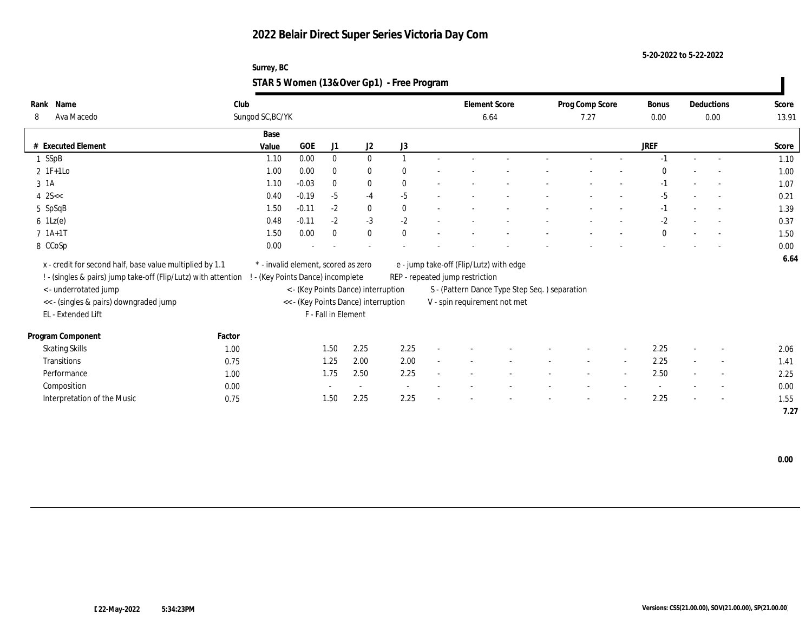**5-20-2022 to 5-22-2022**

#### **Surrey, BC STAR 5 Women (13&Over Gp1) - Free Program**

| Rank      | Name                                                           | Club   |                                     |          |                     |                                      |                          |        |                                 | <b>Element Score</b>                          | Prog Comp Score |        | <b>Bonus</b> |        | Deductions               | Score |
|-----------|----------------------------------------------------------------|--------|-------------------------------------|----------|---------------------|--------------------------------------|--------------------------|--------|---------------------------------|-----------------------------------------------|-----------------|--------|--------------|--------|--------------------------|-------|
| 8         | Ava Macedo                                                     |        | Sungod SC, BC/YK                    |          |                     |                                      |                          |        |                                 | 6.64                                          | 7.27            |        | 0.00         |        | 0.00                     | 13.91 |
|           |                                                                |        | Base                                |          |                     |                                      |                          |        |                                 |                                               |                 |        |              |        |                          |       |
|           | # Executed Element                                             |        | Value                               | GOE      | J1                  | J2                                   | J3                       |        |                                 |                                               |                 |        | <b>JREF</b>  |        |                          | Score |
|           | 1 SSpB                                                         |        | 1.10                                | $0.00\,$ | $\bf{0}$            | $\bf{0}$                             |                          |        |                                 |                                               |                 |        |              |        |                          | 1.10  |
|           | $2 \text{ } 1\text{F+1Lo}$                                     |        | 1.00                                | 0.00     | $\mathbf{0}$        | $\bf{0}$                             | $\theta$                 |        |                                 |                                               |                 |        | $\Omega$     |        | $\overline{\phantom{a}}$ | 1.00  |
| 3 1A      |                                                                |        | 1.10                                | $-0.03$  | $\mathbf{0}$        | $\bf{0}$                             | $\theta$                 |        |                                 |                                               |                 |        | $-1$         |        |                          | 1.07  |
| $4$ 2S << |                                                                |        | 0.40                                | $-0.19$  | $-5$                | $-4$                                 | $-5$                     |        |                                 |                                               |                 |        | $-5$         |        | $\overline{a}$           | 0.21  |
|           | 5 SpSqB                                                        |        | 1.50                                | $-0.11$  | $-2$                | $\bf{0}$                             | $\theta$                 |        |                                 |                                               |                 |        | $-1$         |        | $\sim$                   | 1.39  |
|           | $6 \text{ } 1 \text{Lz}(e)$                                    |        | 0.48                                | $-0.11$  | $-2$                | $-3$                                 | $-2$                     |        |                                 |                                               |                 |        | $-2$         |        | $\overline{\phantom{a}}$ | 0.37  |
|           | $7 \; 1A+1T$                                                   |        | 1.50                                | 0.00     | $\mathbf{0}$        | $\bf{0}$                             | $\theta$                 |        |                                 |                                               |                 |        | $\theta$     |        |                          | 1.50  |
|           | 8 CCoSp                                                        |        | 0.00                                |          |                     |                                      |                          |        |                                 |                                               |                 |        |              |        |                          | 0.00  |
|           | x - credit for second half, base value multiplied by 1.1       |        | * - invalid element, scored as zero |          |                     |                                      |                          |        |                                 | e - jump take-off (Flip/Lutz) with edge       |                 |        |              |        |                          | 6.64  |
|           | ! - (singles & pairs) jump take-off (Flip/Lutz) with attention |        | (Key Points Dance) incomplete       |          |                     |                                      |                          |        | REP - repeated jump restriction |                                               |                 |        |              |        |                          |       |
|           | < - underrotated jump                                          |        |                                     |          |                     | < - (Key Points Dance) interruption  |                          |        |                                 | S - (Pattern Dance Type Step Seq.) separation |                 |        |              |        |                          |       |
|           | << - (singles & pairs) downgraded jump                         |        |                                     |          |                     | << - (Key Points Dance) interruption |                          |        |                                 | V - spin requirement not met                  |                 |        |              |        |                          |       |
|           | EL - Extended Lift                                             |        |                                     |          | F - Fall in Element |                                      |                          |        |                                 |                                               |                 |        |              |        |                          |       |
|           |                                                                |        |                                     |          |                     |                                      |                          |        |                                 |                                               |                 |        |              |        |                          |       |
|           | Program Component                                              | Factor |                                     |          |                     |                                      |                          |        |                                 |                                               |                 |        |              |        |                          |       |
|           | <b>Skating Skills</b>                                          | 1.00   |                                     |          | 1.50                | 2.25                                 | 2.25                     |        |                                 |                                               |                 |        | 2.25         |        | $\overline{\phantom{a}}$ | 2.06  |
|           | <b>Transitions</b>                                             | 0.75   |                                     |          | 1.25                | 2.00                                 | 2.00                     | $\sim$ |                                 |                                               | $\sim$          | $\sim$ | 2.25         | $\sim$ | $\sim$                   | 1.41  |
|           | Performance                                                    | 1.00   |                                     |          | 1.75                | 2.50                                 | 2.25                     |        |                                 |                                               |                 |        | 2.50         |        | $\overline{\phantom{a}}$ | 2.25  |
|           | Composition                                                    | 0.00   |                                     |          |                     |                                      | $\overline{\phantom{a}}$ |        |                                 |                                               |                 |        |              |        | $\overline{\phantom{a}}$ | 0.00  |
|           | Interpretation of the Music                                    | 0.75   |                                     |          | 1.50                | 2.25                                 | 2.25                     |        |                                 |                                               |                 |        | 2.25         |        | $\overline{\phantom{a}}$ | 1.55  |
|           |                                                                |        |                                     |          |                     |                                      |                          |        |                                 |                                               |                 |        |              |        |                          | 7.27  |

 **0.00**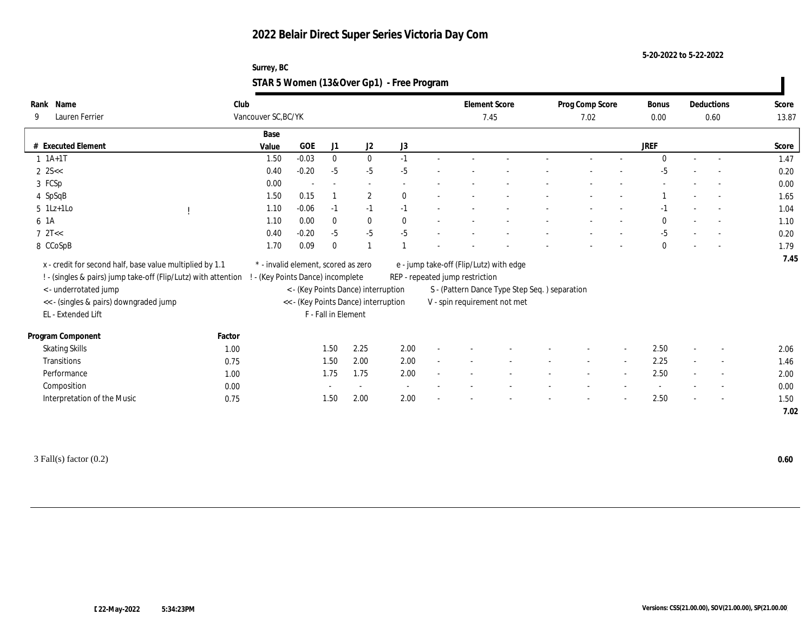**5-20-2022 to 5-22-2022**

#### **Surrey, BC STAR 5 Women (13&Over Gp1) - Free Program**

| Name<br>Rank                                                                                     | Club                |                                     |                     |                                      |          | <b>Element Score</b>            |                                               | Prog Comp Score |                          | <b>Bonus</b> | Deductions               | Score |
|--------------------------------------------------------------------------------------------------|---------------------|-------------------------------------|---------------------|--------------------------------------|----------|---------------------------------|-----------------------------------------------|-----------------|--------------------------|--------------|--------------------------|-------|
| Lauren Ferrier<br>9                                                                              | Vancouver SC, BC/YK |                                     |                     |                                      |          |                                 | 7.45                                          | 7.02            |                          | 0.00         | 0.60                     | 13.87 |
|                                                                                                  | Base                |                                     |                     |                                      |          |                                 |                                               |                 |                          |              |                          |       |
| # Executed Element                                                                               | Value               | <b>GOE</b>                          | J1                  | $\mathrm{J}2$                        | $\rm J3$ |                                 |                                               |                 |                          | <b>JREF</b>  |                          | Score |
| $1$ $1A+1T$                                                                                      | 1.50                | $-0.03$                             | $\bf{0}$            | $\bf{0}$                             | $-1$     |                                 |                                               |                 |                          | $\Omega$     | $\overline{a}$           | 1.47  |
| $2 \, 25 <$                                                                                      | 0.40                | $-0.20$                             | $-5$                | $-5$                                 | $-5$     |                                 |                                               |                 |                          | $-5$         |                          | 0.20  |
| 3 FCSp                                                                                           | 0.00                |                                     |                     | $\overline{\phantom{a}}$             |          |                                 |                                               |                 |                          |              |                          | 0.00  |
| 4 SpSqB                                                                                          | 1.50                | 0.15                                |                     | $\boldsymbol{2}$                     | $\theta$ |                                 |                                               |                 |                          |              | $\overline{\phantom{a}}$ | 1.65  |
| $5$ 1Lz+1Lo                                                                                      | 1.10                | $-0.06$                             | $-1$                | $-1$                                 | $-1$     |                                 |                                               |                 |                          | -1           |                          | 1.04  |
| 6 1A                                                                                             | 1.10                | 0.00                                | $\mathbf{0}$        | $\mathbf{0}$                         | $\theta$ |                                 |                                               |                 |                          | $\mathbf{0}$ | $\sim$                   | 1.10  |
| $7 \text{ } 2T <$                                                                                | 0.40                | $-0.20$                             | $-5$                | $-5$                                 | $-5$     |                                 |                                               |                 |                          | $-5$         |                          | 0.20  |
| 8 CCoSpB                                                                                         | 1.70                | 0.09                                | $\bf{0}$            | $\overline{1}$                       |          |                                 |                                               |                 |                          | $\mathbf{0}$ |                          | 1.79  |
| x - credit for second half, base value multiplied by 1.1                                         |                     | * - invalid element, scored as zero |                     |                                      |          |                                 | e - jump take-off (Flip/Lutz) with edge       |                 |                          |              |                          | 7.45  |
| ! - (singles & pairs) jump take-off (Flip/Lutz) with attention ! - (Key Points Dance) incomplete |                     |                                     |                     |                                      |          | REP - repeated jump restriction |                                               |                 |                          |              |                          |       |
| <- underrotated jump                                                                             |                     |                                     |                     | < - (Key Points Dance) interruption  |          |                                 | S - (Pattern Dance Type Step Seq.) separation |                 |                          |              |                          |       |
| << - (singles & pairs) downgraded jump                                                           |                     |                                     |                     | << - (Key Points Dance) interruption |          |                                 | V - spin requirement not met                  |                 |                          |              |                          |       |
| EL - Extended Lift                                                                               |                     |                                     | F - Fall in Element |                                      |          |                                 |                                               |                 |                          |              |                          |       |
|                                                                                                  |                     |                                     |                     |                                      |          |                                 |                                               |                 |                          |              |                          |       |
| Program Component                                                                                | Factor              |                                     |                     |                                      |          |                                 |                                               |                 |                          |              |                          |       |
| <b>Skating Skills</b>                                                                            | 1.00                |                                     | 1.50                | 2.25                                 | 2.00     |                                 |                                               |                 | $\overline{\phantom{a}}$ | 2.50         | $\overline{\phantom{a}}$ | 2.06  |
| <b>Transitions</b>                                                                               | 0.75                |                                     | 1.50                | 2.00                                 | 2.00     |                                 |                                               |                 | $\sim$                   | 2.25         | $\overline{\phantom{a}}$ | 1.46  |
| Performance                                                                                      | 1.00                |                                     | 1.75                | 1.75                                 | 2.00     |                                 |                                               |                 | $\overline{\phantom{a}}$ | 2.50         | $\sim$                   | 2.00  |
| Composition                                                                                      | 0.00                |                                     |                     | $\sim$                               | $\sim$   |                                 |                                               |                 |                          |              | $\overline{\phantom{a}}$ | 0.00  |
| Interpretation of the Music                                                                      | 0.75                |                                     | 1.50                | 2.00                                 | 2.00     |                                 |                                               |                 |                          | 2.50         | $\overline{\phantom{a}}$ | 1.50  |
|                                                                                                  |                     |                                     |                     |                                      |          |                                 |                                               |                 |                          |              |                          | 7.02  |

3 Fall(s) factor (0.2) **0.60**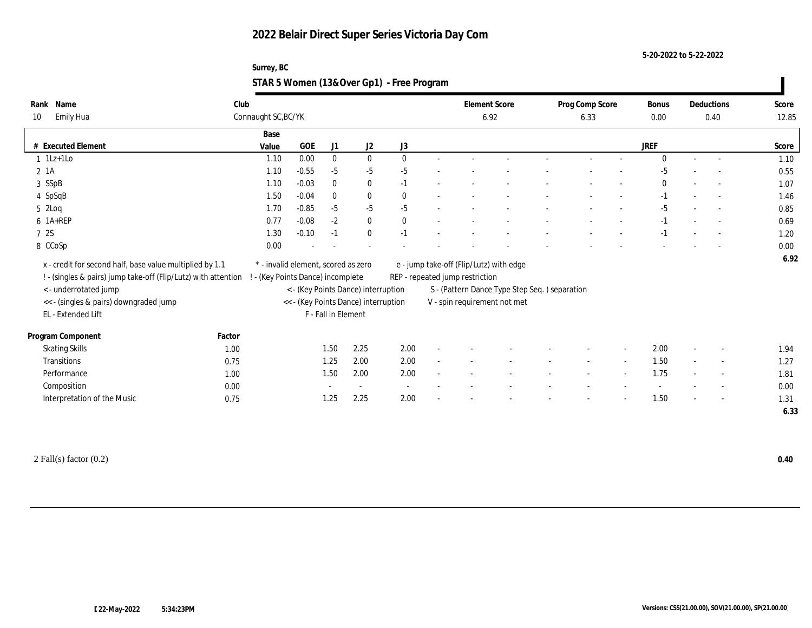**5-20-2022 to 5-22-2022**

#### **Surrey, BC STAR 5 Women (13&Over Gp1) - Free Program**

| Name<br>Rank                                                   | Club   |                     |                                     |                     |                                      |              |                                               | <b>Element Score</b> | Prog Comp Score |                          | Bonus        | Deductions               | Score |
|----------------------------------------------------------------|--------|---------------------|-------------------------------------|---------------------|--------------------------------------|--------------|-----------------------------------------------|----------------------|-----------------|--------------------------|--------------|--------------------------|-------|
| <b>Emily Hua</b><br>10                                         |        | Connaught SC, BC/YK |                                     |                     |                                      |              |                                               | 6.92                 | 6.33            |                          | 0.00         | 0.40                     | 12.85 |
|                                                                |        | Base                |                                     |                     |                                      |              |                                               |                      |                 |                          |              |                          |       |
| # Executed Element                                             |        | Value               | GOE                                 | J1                  | J2                                   | J3           |                                               |                      |                 |                          | <b>JREF</b>  |                          | Score |
| $1 \quad 1Lz+1Lo$                                              |        | 1.10                | 0.00                                | $\bf{0}$            | $\bf{0}$                             | $\mathbf{0}$ |                                               |                      |                 |                          | $\Omega$     |                          | 1.10  |
| 2 1A                                                           |        | 1.10                | $-0.55$                             | $-5$                | $-5$                                 | $-5$         |                                               |                      |                 |                          | $-5$         | $\overline{\phantom{a}}$ | 0.55  |
| 3 SSpB                                                         |        | 1.10                | $-0.03$                             | $\bf{0}$            | $\bf{0}$                             | $-1$         |                                               |                      |                 |                          | $\mathbf{0}$ |                          | 1.07  |
| 4 SpSqB                                                        |        | 1.50                | $-0.04$                             | $\mathbf{0}$        | $\mathbf{0}$                         | $\mathbf{0}$ |                                               |                      |                 |                          | $-1$         | $\overline{\phantom{a}}$ | 1.46  |
| $5 \t2Log$                                                     |        | 1.70                | $-0.85$                             | $-5$                | $-5$                                 | $-5$         |                                               |                      |                 |                          | $-5$         | $\sim$                   | 0.85  |
| $6$ 1A+REP                                                     |        | 0.77                | $-0.08$                             | $-2$                | $\bf{0}$                             | $\theta$     |                                               |                      |                 |                          | $-1$         |                          | 0.69  |
| 7 2S                                                           |        | 1.30                | $-0.10$                             | $-1$                | $\bf{0}$                             | $-1$         |                                               |                      |                 |                          | -1           |                          | 1.20  |
| 8 CCoSp                                                        |        | 0.00                |                                     |                     |                                      |              |                                               |                      |                 |                          |              |                          | 0.00  |
| x - credit for second half, base value multiplied by 1.1       |        |                     | * - invalid element, scored as zero |                     |                                      |              | e - jump take-off (Flip/Lutz) with edge       |                      |                 |                          |              |                          | 6.92  |
| ! - (singles & pairs) jump take-off (Flip/Lutz) with attention |        |                     | - (Key Points Dance) incomplete     |                     |                                      |              | REP - repeated jump restriction               |                      |                 |                          |              |                          |       |
| <- underrotated jump                                           |        |                     |                                     |                     | < - (Key Points Dance) interruption  |              | S - (Pattern Dance Type Step Seq.) separation |                      |                 |                          |              |                          |       |
| << - (singles & pairs) downgraded jump                         |        |                     |                                     |                     | << - (Key Points Dance) interruption |              | V - spin requirement not met                  |                      |                 |                          |              |                          |       |
| EL - Extended Lift                                             |        |                     |                                     | F - Fall in Element |                                      |              |                                               |                      |                 |                          |              |                          |       |
|                                                                |        |                     |                                     |                     |                                      |              |                                               |                      |                 |                          |              |                          |       |
| Program Component                                              | Factor |                     |                                     |                     |                                      |              |                                               |                      |                 |                          |              |                          |       |
| <b>Skating Skills</b>                                          | 1.00   |                     |                                     | 1.50                | 2.25                                 | 2.00         |                                               |                      |                 |                          | 2.00         |                          | 1.94  |
| Transitions                                                    | 0.75   |                     |                                     | 1.25                | 2.00                                 | 2.00         |                                               |                      |                 | $\overline{\phantom{a}}$ | 1.50         | $\sim$                   | 1.27  |
| Performance                                                    | 1.00   |                     |                                     | 1.50                | 2.00                                 | 2.00         |                                               |                      |                 |                          | 1.75         |                          | 1.81  |
| Composition                                                    | 0.00   |                     |                                     |                     | $\sim$                               | $\sim$       |                                               |                      |                 |                          |              | $\overline{\phantom{a}}$ | 0.00  |
| Interpretation of the Music                                    | 0.75   |                     |                                     | 1.25                | 2.25                                 | 2.00         |                                               |                      |                 |                          | 1.50         | $\overline{\phantom{a}}$ | 1.31  |
|                                                                |        |                     |                                     |                     |                                      |              |                                               |                      |                 |                          |              |                          | 6.33  |

2 Fall(s) factor (0.2) **0.40**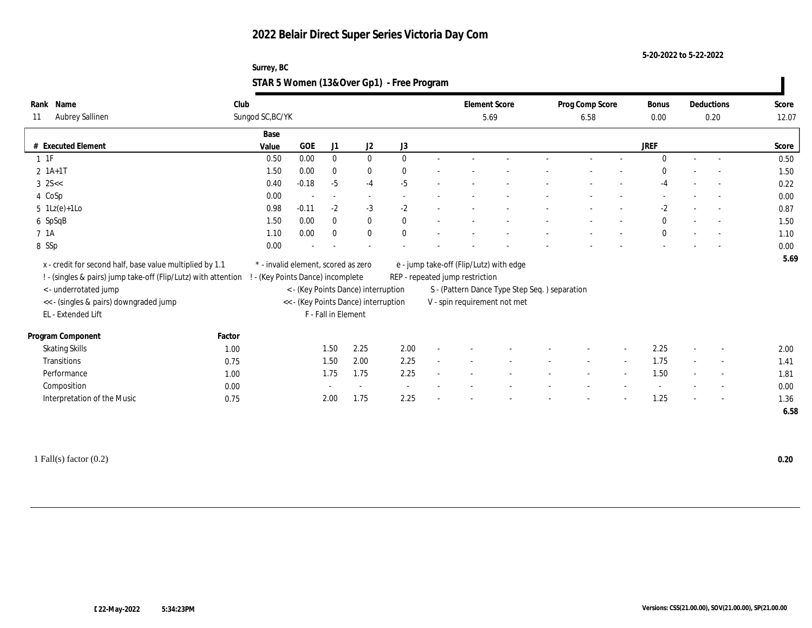**5-20-2022 to 5-22-2022**

#### **Surrey, BC STAR 5 Women (13&Over Gp1) - Free Program**

| Name<br>Rank                                                   | Club             |                                      |                     |                |              |                                 | <b>Element Score</b>                           | Prog Comp Score |                | Bonus        |        | Deductions               | Score |
|----------------------------------------------------------------|------------------|--------------------------------------|---------------------|----------------|--------------|---------------------------------|------------------------------------------------|-----------------|----------------|--------------|--------|--------------------------|-------|
| Aubrey Sallinen<br>11                                          | Sungod SC, BC/YK |                                      |                     |                |              |                                 | 5.69                                           | 6.58            |                | 0.00         |        | 0.20                     | 12.07 |
|                                                                | Base             |                                      |                     |                |              |                                 |                                                |                 |                |              |        |                          |       |
| # Executed Element                                             | Value            | <b>GOE</b>                           | J1                  | J <sub>2</sub> | J3           |                                 |                                                |                 |                | <b>JREF</b>  |        |                          | Score |
| $1$ $1$ $F$                                                    | 0.50             | 0.00                                 | $\mathbf{0}$        | $\bf{0}$       | $\mathbf{0}$ |                                 |                                                |                 |                | $\Omega$     | $\sim$ | $\sim$                   | 0.50  |
| $2 \; 1A+1T$                                                   | 1.50             | 0.00                                 | $\bf{0}$            | $\bf{0}$       | $\theta$     |                                 |                                                |                 |                | $\Omega$     |        |                          | 1.50  |
| $3 \, 25 <$                                                    | 0.40             | $-0.18$                              | $-5$                | $-4$           | $-5$         |                                 |                                                |                 |                | -4           |        |                          | 0.22  |
| 4 CoSp                                                         | 0.00             |                                      | $\sim$              | $\sim$         |              |                                 |                                                |                 |                |              |        |                          | 0.00  |
| $5 \text{ } 1\text{Lz}(e)+1\text{Lo}$                          | 0.98             | $-0.11$                              | $-2$                | $-3$           | $-2$         |                                 |                                                |                 |                | $-2$         |        |                          | 0.87  |
| 6 SpSqB                                                        | 1.50             | 0.00                                 | $\bf{0}$            | $\bf{0}$       | $\mathbf{0}$ |                                 |                                                |                 |                | $\bf{0}$     |        |                          | 1.50  |
| 7 1A                                                           | 1.10             | 0.00                                 | $\mathbf{0}$        | $\bf{0}$       | $\mathbf{0}$ |                                 |                                                |                 |                | $\mathbf{0}$ |        |                          | 1.10  |
| 8 SSp                                                          | 0.00             |                                      |                     |                |              |                                 |                                                |                 |                |              |        |                          | 0.00  |
| x - credit for second half, base value multiplied by 1.1       |                  | * - invalid element, scored as zero  |                     |                |              |                                 | e - jump take-off (Flip/Lutz) with edge        |                 |                |              |        |                          | 5.69  |
| ! - (singles & pairs) jump take-off (Flip/Lutz) with attention |                  | - (Key Points Dance) incomplete      |                     |                |              | REP - repeated jump restriction |                                                |                 |                |              |        |                          |       |
| < - underrotated jump                                          |                  | < - (Key Points Dance) interruption  |                     |                |              |                                 | S - (Pattern Dance Type Step Seq. ) separation |                 |                |              |        |                          |       |
| << - (singles & pairs) downgraded jump                         |                  | << - (Key Points Dance) interruption |                     |                |              |                                 | V - spin requirement not met                   |                 |                |              |        |                          |       |
| EL - Extended Lift                                             |                  |                                      | F - Fall in Element |                |              |                                 |                                                |                 |                |              |        |                          |       |
|                                                                |                  |                                      |                     |                |              |                                 |                                                |                 |                |              |        |                          |       |
| Program Component                                              | Factor           |                                      |                     |                |              |                                 |                                                |                 |                |              |        |                          |       |
| <b>Skating Skills</b>                                          | 1.00             |                                      | 1.50                | 2.25           | 2.00         |                                 |                                                |                 |                | 2.25         |        |                          | 2.00  |
| Transitions                                                    | 0.75             |                                      | 1.50                | 2.00           | 2.25         |                                 |                                                |                 | $\overline{a}$ | 1.75         |        | $\overline{\phantom{a}}$ | 1.41  |
| Performance                                                    | 1.00             |                                      | 1.75                | 1.75           | 2.25         |                                 |                                                |                 |                | 1.50         |        |                          | 1.81  |
| Composition                                                    | 0.00             |                                      |                     | $\sim$         |              |                                 |                                                |                 |                |              |        | $\sim$                   | 0.00  |
| Interpretation of the Music                                    | 0.75             |                                      | 2.00                | 1.75           | 2.25         |                                 |                                                |                 |                | 1.25         |        | $\overline{\phantom{a}}$ | 1.36  |
|                                                                |                  |                                      |                     |                |              |                                 |                                                |                 |                |              |        |                          | 6.58  |

1 Fall(s) factor (0.2) **0.20**